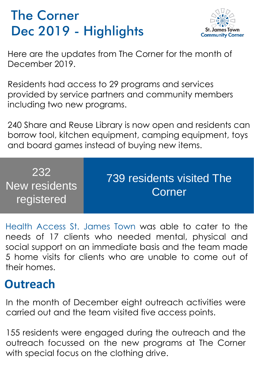## The Corner Dec 2019 - Highlights



Here are the updates from The Corner for the month of December 2019.

Residents had access to 29 programs and services provided by service partners and community members including two new programs.

240 Share and Reuse Library is now open and residents can borrow tool, kitchen equipment, camping equipment, toys and board games instead of buying new items.

| 232<br>New residents<br>registered | 739 residents visited The<br>Corner |
|------------------------------------|-------------------------------------|
|------------------------------------|-------------------------------------|

Health Access St. James Town was able to cater to the needs of 17 clients who needed mental, physical and social support on an immediate basis and the team made 5 home visits for clients who are unable to come out of their homes.

## **Outreach**

In the month of December eight outreach activities were carried out and the team visited five access points.

155 residents were engaged during the outreach and the outreach focussed on the new programs at The Corner with special focus on the clothing drive.